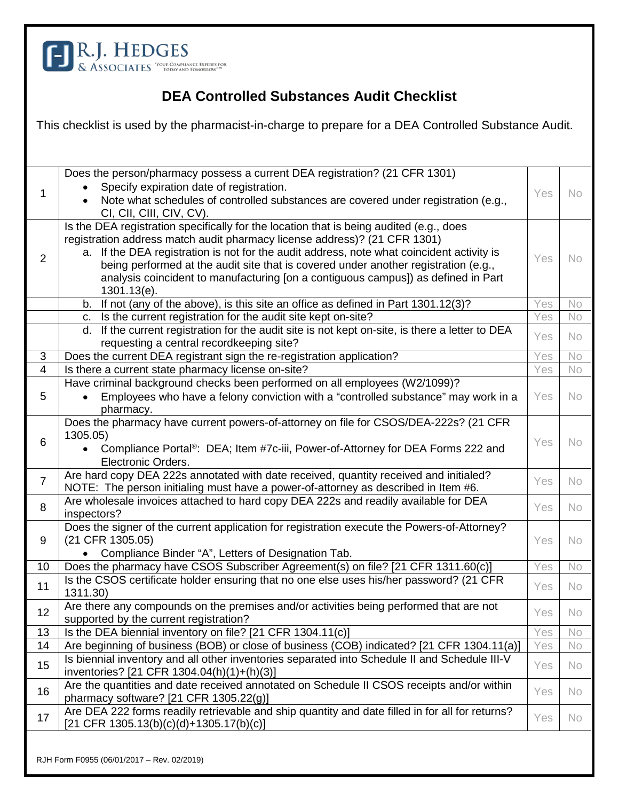

## **DEA Controlled Substances Audit Checklist**

| This checklist is used by the pharmacist-in-charge to prepare for a DEA Controlled Substance Audit. |                                                                                                                                                                                                                                                                                                                                                                                                                                                              |     |           |  |
|-----------------------------------------------------------------------------------------------------|--------------------------------------------------------------------------------------------------------------------------------------------------------------------------------------------------------------------------------------------------------------------------------------------------------------------------------------------------------------------------------------------------------------------------------------------------------------|-----|-----------|--|
|                                                                                                     |                                                                                                                                                                                                                                                                                                                                                                                                                                                              |     |           |  |
| 1                                                                                                   | Does the person/pharmacy possess a current DEA registration? (21 CFR 1301)<br>Specify expiration date of registration.<br>Note what schedules of controlled substances are covered under registration (e.g.,<br>CI, CII, CIII, CIV, CV).                                                                                                                                                                                                                     | Yes | <b>No</b> |  |
| 2                                                                                                   | Is the DEA registration specifically for the location that is being audited (e.g., does<br>registration address match audit pharmacy license address)? (21 CFR 1301)<br>a. If the DEA registration is not for the audit address, note what coincident activity is<br>being performed at the audit site that is covered under another registration (e.g.,<br>analysis coincident to manufacturing [on a contiguous campus]) as defined in Part<br>1301.13(e). | Yes | <b>No</b> |  |
|                                                                                                     | b. If not (any of the above), is this site an office as defined in Part 1301.12(3)?                                                                                                                                                                                                                                                                                                                                                                          | Yes | No        |  |
|                                                                                                     | Is the current registration for the audit site kept on-site?<br>C.                                                                                                                                                                                                                                                                                                                                                                                           | Yes | No        |  |
|                                                                                                     | If the current registration for the audit site is not kept on-site, is there a letter to DEA<br>d.<br>requesting a central recordkeeping site?                                                                                                                                                                                                                                                                                                               | Yes | <b>No</b> |  |
| 3                                                                                                   | Does the current DEA registrant sign the re-registration application?                                                                                                                                                                                                                                                                                                                                                                                        | Yes | No        |  |
| $\overline{4}$                                                                                      | Is there a current state pharmacy license on-site?                                                                                                                                                                                                                                                                                                                                                                                                           | Yes | No        |  |
| 5                                                                                                   | Have criminal background checks been performed on all employees (W2/1099)?<br>Employees who have a felony conviction with a "controlled substance" may work in a<br>$\bullet$<br>pharmacy.                                                                                                                                                                                                                                                                   | Yes | <b>No</b> |  |
| 6                                                                                                   | Does the pharmacy have current powers-of-attorney on file for CSOS/DEA-222s? (21 CFR<br>1305.05)<br>Compliance Portal <sup>®</sup> : DEA; Item #7c-iii, Power-of-Attorney for DEA Forms 222 and<br>Electronic Orders.                                                                                                                                                                                                                                        | Yes | <b>No</b> |  |
| $\overline{7}$                                                                                      | Are hard copy DEA 222s annotated with date received, quantity received and initialed?<br>NOTE: The person initialing must have a power-of-attorney as described in Item #6.                                                                                                                                                                                                                                                                                  | Yes | <b>No</b> |  |
| 8                                                                                                   | Are wholesale invoices attached to hard copy DEA 222s and readily available for DEA<br>inspectors?                                                                                                                                                                                                                                                                                                                                                           | Yes | <b>No</b> |  |
| 9                                                                                                   | Does the signer of the current application for registration execute the Powers-of-Attorney?<br>(21 CFR 1305.05)<br>Compliance Binder "A", Letters of Designation Tab.                                                                                                                                                                                                                                                                                        | Yes | <b>No</b> |  |
| 10                                                                                                  | Does the pharmacy have CSOS Subscriber Agreement(s) on file? [21 CFR 1311.60(c)]                                                                                                                                                                                                                                                                                                                                                                             | Yes | No.       |  |
| 11                                                                                                  | Is the CSOS certificate holder ensuring that no one else uses his/her password? (21 CFR<br>1311.30)                                                                                                                                                                                                                                                                                                                                                          | Yes | No.       |  |
| 12                                                                                                  | Are there any compounds on the premises and/or activities being performed that are not<br>supported by the current registration?                                                                                                                                                                                                                                                                                                                             | Yes | <b>No</b> |  |
| 13                                                                                                  | Is the DEA biennial inventory on file? [21 CFR 1304.11(c)]                                                                                                                                                                                                                                                                                                                                                                                                   | Yes | No        |  |
| 14                                                                                                  | Are beginning of business (BOB) or close of business (COB) indicated? [21 CFR 1304.11(a)]                                                                                                                                                                                                                                                                                                                                                                    | Yes | No        |  |
| 15                                                                                                  | Is biennial inventory and all other inventories separated into Schedule II and Schedule III-V<br>inventories? [21 CFR 1304.04(h)(1)+(h)(3)]                                                                                                                                                                                                                                                                                                                  | Yes | <b>No</b> |  |
| 16                                                                                                  | Are the quantities and date received annotated on Schedule II CSOS receipts and/or within<br>pharmacy software? [21 CFR 1305.22(g)]                                                                                                                                                                                                                                                                                                                          | Yes | <b>No</b> |  |
| 17                                                                                                  | Are DEA 222 forms readily retrievable and ship quantity and date filled in for all for returns?<br>$[21$ CFR 1305.13(b)(c)(d)+1305.17(b)(c)]                                                                                                                                                                                                                                                                                                                 | Yes | No        |  |
| RJH Form F0955 (06/01/2017 - Rev. 02/2019)                                                          |                                                                                                                                                                                                                                                                                                                                                                                                                                                              |     |           |  |